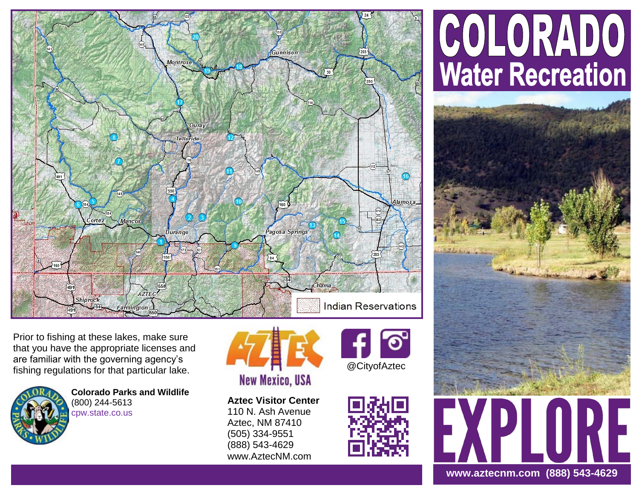

Prior to fishing at these lakes, make sure that you have the appropriate licenses and are familiar with the governing agency's fishing regulations for that particular lake.



**Colorado Parks and Wildlife**  (800) 244-5613 [cpw.state.co.us](http://cpw.state.co.us/thingstodo/Pages/Fishing.aspx) 



**Aztec Visitor Center**  110 N. Ash Avenue Aztec, NM 87410 (505) 334-9551 (888) 543-4629 www.AztecNM.com





# **COLORADO**<br>Water Recreation